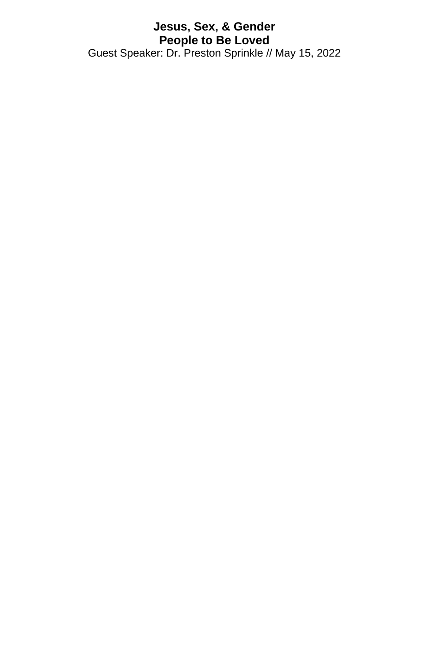## **Jesus, Sex, & Gender People to Be Loved** Guest Speaker: Dr. Preston Sprinkle // May 15, 2022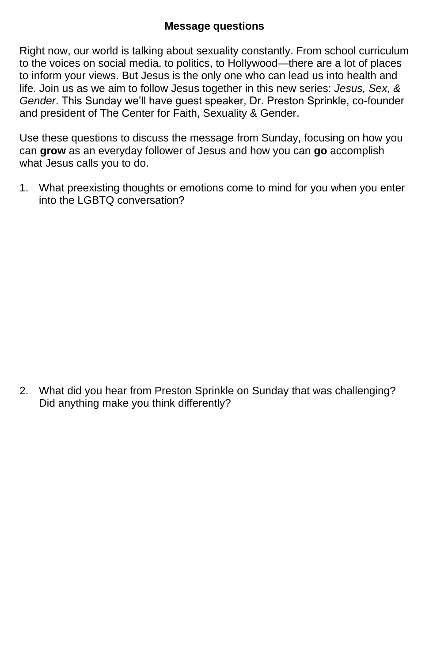## **Message questions**

Right now, our world is talking about sexuality constantly. From school curriculum to the voices on social media, to politics, to Hollywood—there are a lot of places to inform your views. But Jesus is the only one who can lead us into health and life. Join us as we aim to follow Jesus together in this new series: *Jesus, Sex, & Gender*. This Sunday we'll have guest speaker, Dr. Preston Sprinkle, co-founder and president of The Center for Faith, Sexuality & Gender.

Use these questions to discuss the message from Sunday, focusing on how you can **grow** as an everyday follower of Jesus and how you can **go** accomplish what Jesus calls you to do.

1. What preexisting thoughts or emotions come to mind for you when you enter into the LGBTQ conversation?

2. What did you hear from Preston Sprinkle on Sunday that was challenging? Did anything make you think differently?